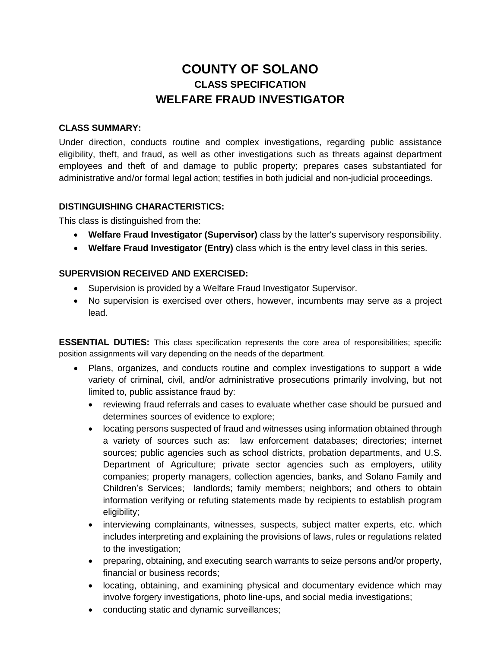# **COUNTY OF SOLANO CLASS SPECIFICATION WELFARE FRAUD INVESTIGATOR**

### **CLASS SUMMARY:**

Under direction, conducts routine and complex investigations, regarding public assistance eligibility, theft, and fraud, as well as other investigations such as threats against department employees and theft of and damage to public property; prepares cases substantiated for administrative and/or formal legal action; testifies in both judicial and non-judicial proceedings.

### **DISTINGUISHING CHARACTERISTICS:**

This class is distinguished from the:

- **Welfare Fraud Investigator (Supervisor)** class by the latter's supervisory responsibility.
- **Welfare Fraud Investigator (Entry)** class which is the entry level class in this series.

#### **SUPERVISION RECEIVED AND EXERCISED:**

- Supervision is provided by a Welfare Fraud Investigator Supervisor.
- No supervision is exercised over others, however, incumbents may serve as a project lead.

**ESSENTIAL DUTIES:** This class specification represents the core area of responsibilities; specific position assignments will vary depending on the needs of the department.

- Plans, organizes, and conducts routine and complex investigations to support a wide variety of criminal, civil, and/or administrative prosecutions primarily involving, but not limited to, public assistance fraud by:
	- reviewing fraud referrals and cases to evaluate whether case should be pursued and determines sources of evidence to explore;
	- locating persons suspected of fraud and witnesses using information obtained through a variety of sources such as: law enforcement databases; directories; internet sources; public agencies such as school districts, probation departments, and U.S. Department of Agriculture; private sector agencies such as employers, utility companies; property managers, collection agencies, banks, and Solano Family and Children's Services; landlords; family members; neighbors; and others to obtain information verifying or refuting statements made by recipients to establish program eligibility;
	- interviewing complainants, witnesses, suspects, subject matter experts, etc. which includes interpreting and explaining the provisions of laws, rules or regulations related to the investigation;
	- preparing, obtaining, and executing search warrants to seize persons and/or property, financial or business records;
	- locating, obtaining, and examining physical and documentary evidence which may involve forgery investigations, photo line-ups, and social media investigations;
	- conducting static and dynamic surveillances;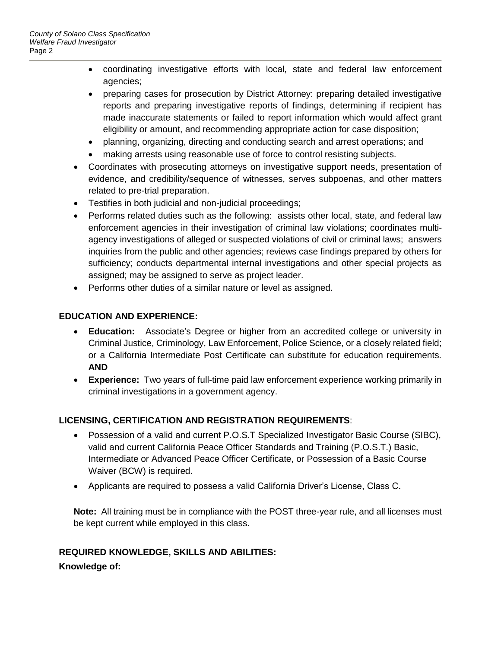- coordinating investigative efforts with local, state and federal law enforcement agencies;
- preparing cases for prosecution by District Attorney: preparing detailed investigative reports and preparing investigative reports of findings, determining if recipient has made inaccurate statements or failed to report information which would affect grant eligibility or amount, and recommending appropriate action for case disposition;
- planning, organizing, directing and conducting search and arrest operations; and
- making arrests using reasonable use of force to control resisting subjects.
- Coordinates with prosecuting attorneys on investigative support needs, presentation of evidence, and credibility/sequence of witnesses, serves subpoenas, and other matters related to pre-trial preparation.
- Testifies in both judicial and non-judicial proceedings;
- Performs related duties such as the following: assists other local, state, and federal law enforcement agencies in their investigation of criminal law violations; coordinates multiagency investigations of alleged or suspected violations of civil or criminal laws; answers inquiries from the public and other agencies; reviews case findings prepared by others for sufficiency; conducts departmental internal investigations and other special projects as assigned; may be assigned to serve as project leader.
- Performs other duties of a similar nature or level as assigned.

### **EDUCATION AND EXPERIENCE:**

- **Education:** Associate's Degree or higher from an accredited college or university in Criminal Justice, Criminology, Law Enforcement, Police Science, or a closely related field; or a California Intermediate Post Certificate can substitute for education requirements. **AND**
- **Experience:** Two years of full-time paid law enforcement experience working primarily in criminal investigations in a government agency.

# **LICENSING, CERTIFICATION AND REGISTRATION REQUIREMENTS**:

- Possession of a valid and current P.O.S.T Specialized Investigator Basic Course (SIBC), valid and current California Peace Officer Standards and Training (P.O.S.T.) Basic, Intermediate or Advanced Peace Officer Certificate, or Possession of a Basic Course Waiver (BCW) is required.
- Applicants are required to possess a valid California Driver's License, Class C.

**Note:** All training must be in compliance with the POST three-year rule, and all licenses must be kept current while employed in this class.

# **REQUIRED KNOWLEDGE, SKILLS AND ABILITIES:**

**Knowledge of:**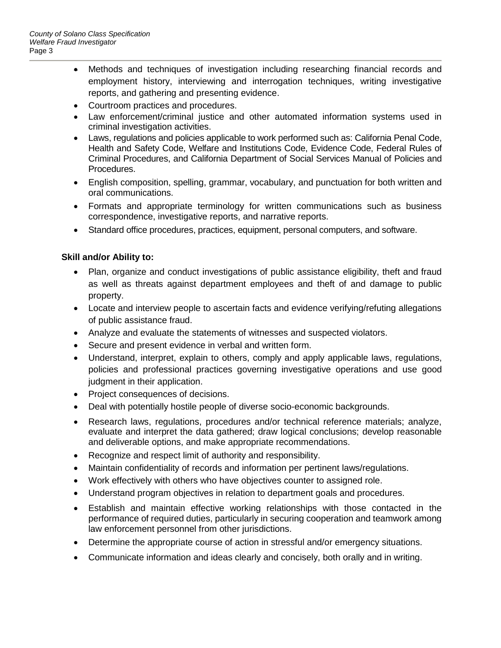- Methods and techniques of investigation including researching financial records and employment history, interviewing and interrogation techniques, writing investigative reports, and gathering and presenting evidence.
- Courtroom practices and procedures.
- Law enforcement/criminal justice and other automated information systems used in criminal investigation activities.
- Laws, regulations and policies applicable to work performed such as: California Penal Code, Health and Safety Code, Welfare and Institutions Code, Evidence Code, Federal Rules of Criminal Procedures, and California Department of Social Services Manual of Policies and Procedures.
- English composition, spelling, grammar, vocabulary, and punctuation for both written and oral communications.
- Formats and appropriate terminology for written communications such as business correspondence, investigative reports, and narrative reports.
- Standard office procedures, practices, equipment, personal computers, and software.

### **Skill and/or Ability to:**

- Plan, organize and conduct investigations of public assistance eligibility, theft and fraud as well as threats against department employees and theft of and damage to public property.
- Locate and interview people to ascertain facts and evidence verifying/refuting allegations of public assistance fraud.
- Analyze and evaluate the statements of witnesses and suspected violators.
- Secure and present evidence in verbal and written form.
- Understand, interpret, explain to others, comply and apply applicable laws, regulations, policies and professional practices governing investigative operations and use good judgment in their application.
- Project consequences of decisions.
- Deal with potentially hostile people of diverse socio-economic backgrounds.
- Research laws, regulations, procedures and/or technical reference materials; analyze, evaluate and interpret the data gathered; draw logical conclusions; develop reasonable and deliverable options, and make appropriate recommendations.
- Recognize and respect limit of authority and responsibility.
- Maintain confidentiality of records and information per pertinent laws/regulations.
- Work effectively with others who have objectives counter to assigned role.
- Understand program objectives in relation to department goals and procedures.
- Establish and maintain effective working relationships with those contacted in the performance of required duties, particularly in securing cooperation and teamwork among law enforcement personnel from other jurisdictions.
- Determine the appropriate course of action in stressful and/or emergency situations.
- Communicate information and ideas clearly and concisely, both orally and in writing.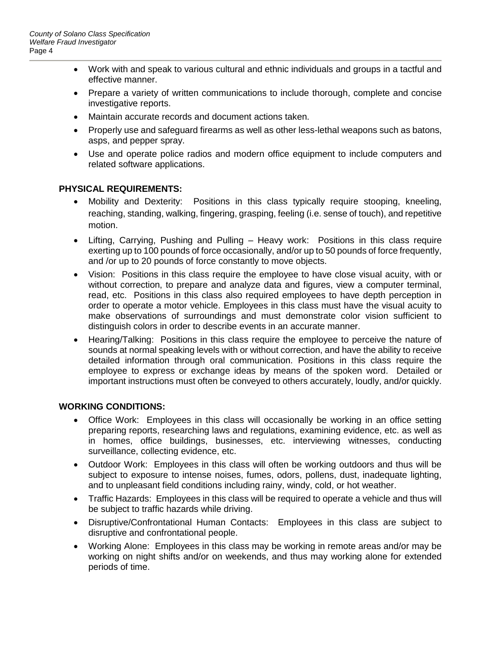- Work with and speak to various cultural and ethnic individuals and groups in a tactful and effective manner.
- Prepare a variety of written communications to include thorough, complete and concise investigative reports.
- Maintain accurate records and document actions taken.
- Properly use and safeguard firearms as well as other less-lethal weapons such as batons, asps, and pepper spray.
- Use and operate police radios and modern office equipment to include computers and related software applications.

### **PHYSICAL REQUIREMENTS:**

- Mobility and Dexterity: Positions in this class typically require stooping, kneeling, reaching, standing, walking, fingering, grasping, feeling (i.e. sense of touch), and repetitive motion.
- Lifting, Carrying, Pushing and Pulling Heavy work: Positions in this class require exerting up to 100 pounds of force occasionally, and/or up to 50 pounds of force frequently, and /or up to 20 pounds of force constantly to move objects.
- Vision: Positions in this class require the employee to have close visual acuity, with or without correction, to prepare and analyze data and figures, view a computer terminal, read, etc. Positions in this class also required employees to have depth perception in order to operate a motor vehicle. Employees in this class must have the visual acuity to make observations of surroundings and must demonstrate color vision sufficient to distinguish colors in order to describe events in an accurate manner.
- Hearing/Talking: Positions in this class require the employee to perceive the nature of sounds at normal speaking levels with or without correction, and have the ability to receive detailed information through oral communication. Positions in this class require the employee to express or exchange ideas by means of the spoken word. Detailed or important instructions must often be conveyed to others accurately, loudly, and/or quickly.

### **WORKING CONDITIONS:**

- Office Work: Employees in this class will occasionally be working in an office setting preparing reports, researching laws and regulations, examining evidence, etc. as well as in homes, office buildings, businesses, etc. interviewing witnesses, conducting surveillance, collecting evidence, etc.
- Outdoor Work: Employees in this class will often be working outdoors and thus will be subject to exposure to intense noises, fumes, odors, pollens, dust, inadequate lighting, and to unpleasant field conditions including rainy, windy, cold, or hot weather.
- Traffic Hazards: Employees in this class will be required to operate a vehicle and thus will be subject to traffic hazards while driving.
- Disruptive/Confrontational Human Contacts: Employees in this class are subject to disruptive and confrontational people.
- Working Alone: Employees in this class may be working in remote areas and/or may be working on night shifts and/or on weekends, and thus may working alone for extended periods of time.